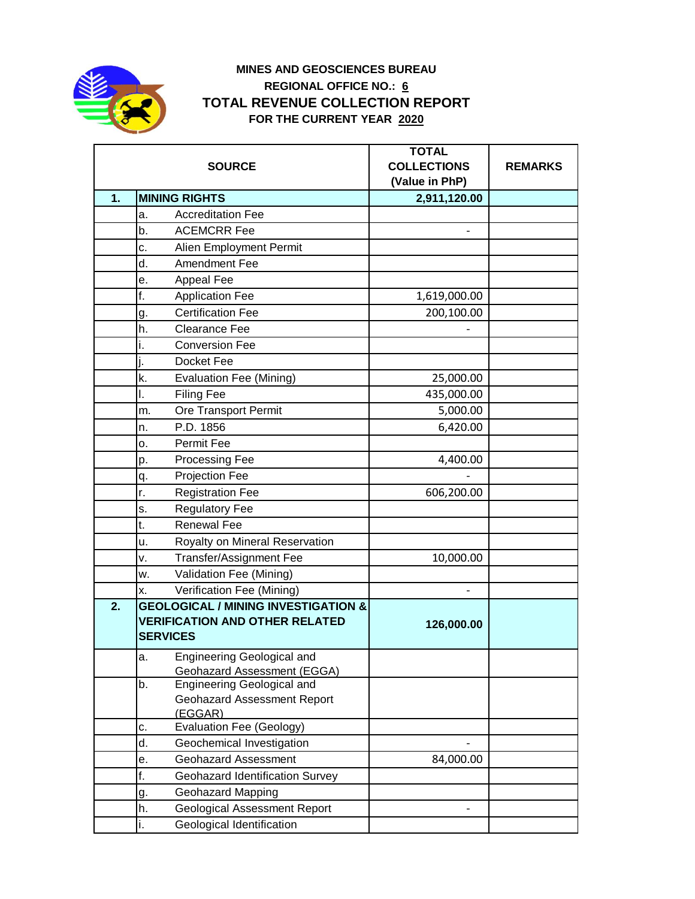

## **MINES AND GEOSCIENCES BUREAU REGIONAL OFFICE NO.: 6 TOTAL REVENUE COLLECTION REPORT FOR THE CURRENT YEAR 2020**

| <b>SOURCE</b> |                                                                                                            | <b>TOTAL</b><br><b>COLLECTIONS</b><br>(Value in PhP) | <b>REMARKS</b> |
|---------------|------------------------------------------------------------------------------------------------------------|------------------------------------------------------|----------------|
| 1.            | <b>MINING RIGHTS</b>                                                                                       | 2,911,120.00                                         |                |
|               | <b>Accreditation Fee</b><br>a.                                                                             |                                                      |                |
|               | <b>ACEMCRR Fee</b><br>b.                                                                                   |                                                      |                |
|               | Alien Employment Permit<br>c.                                                                              |                                                      |                |
|               | Amendment Fee<br>d.                                                                                        |                                                      |                |
|               | Appeal Fee<br>e.                                                                                           |                                                      |                |
|               | f.<br><b>Application Fee</b>                                                                               | 1,619,000.00                                         |                |
|               | <b>Certification Fee</b><br>g.                                                                             | 200,100.00                                           |                |
|               | h.<br><b>Clearance Fee</b>                                                                                 |                                                      |                |
|               | <b>Conversion Fee</b><br>i.                                                                                |                                                      |                |
|               | Docket Fee                                                                                                 |                                                      |                |
|               | k.<br><b>Evaluation Fee (Mining)</b>                                                                       | 25,000.00                                            |                |
|               | <b>Filing Fee</b><br>I.                                                                                    | 435,000.00                                           |                |
|               | Ore Transport Permit<br>m.                                                                                 | 5,000.00                                             |                |
|               | P.D. 1856<br>n.                                                                                            | 6,420.00                                             |                |
|               | <b>Permit Fee</b><br>0.                                                                                    |                                                      |                |
|               | Processing Fee<br>p.                                                                                       | 4,400.00                                             |                |
|               | Projection Fee<br>q.                                                                                       |                                                      |                |
|               | r.<br><b>Registration Fee</b>                                                                              | 606,200.00                                           |                |
|               | <b>Regulatory Fee</b><br>s.                                                                                |                                                      |                |
|               | <b>Renewal Fee</b><br>t.                                                                                   |                                                      |                |
|               | Royalty on Mineral Reservation<br>u.                                                                       |                                                      |                |
|               | <b>Transfer/Assignment Fee</b><br>٧.                                                                       | 10,000.00                                            |                |
|               | Validation Fee (Mining)<br>w.                                                                              |                                                      |                |
|               | Verification Fee (Mining)<br>X.                                                                            |                                                      |                |
| 2.            | <b>GEOLOGICAL / MINING INVESTIGATION &amp;</b><br><b>VERIFICATION AND OTHER RELATED</b><br><b>SERVICES</b> | 126,000.00                                           |                |
|               | <b>Engineering Geological and</b><br>а.<br>Geohazard Assessment (EGGA)                                     |                                                      |                |
|               | Engineering Geological and<br>b.<br><b>Geohazard Assessment Report</b><br>(EGGAR)                          |                                                      |                |
|               | Evaluation Fee (Geology)<br>c.                                                                             |                                                      |                |
|               | d.<br>Geochemical Investigation                                                                            |                                                      |                |
|               | <b>Geohazard Assessment</b><br>е.                                                                          | 84,000.00                                            |                |
|               | f.<br><b>Geohazard Identification Survey</b>                                                               |                                                      |                |
|               | <b>Geohazard Mapping</b><br>g.                                                                             |                                                      |                |
|               | <b>Geological Assessment Report</b><br>h.                                                                  |                                                      |                |
|               | i.<br>Geological Identification                                                                            |                                                      |                |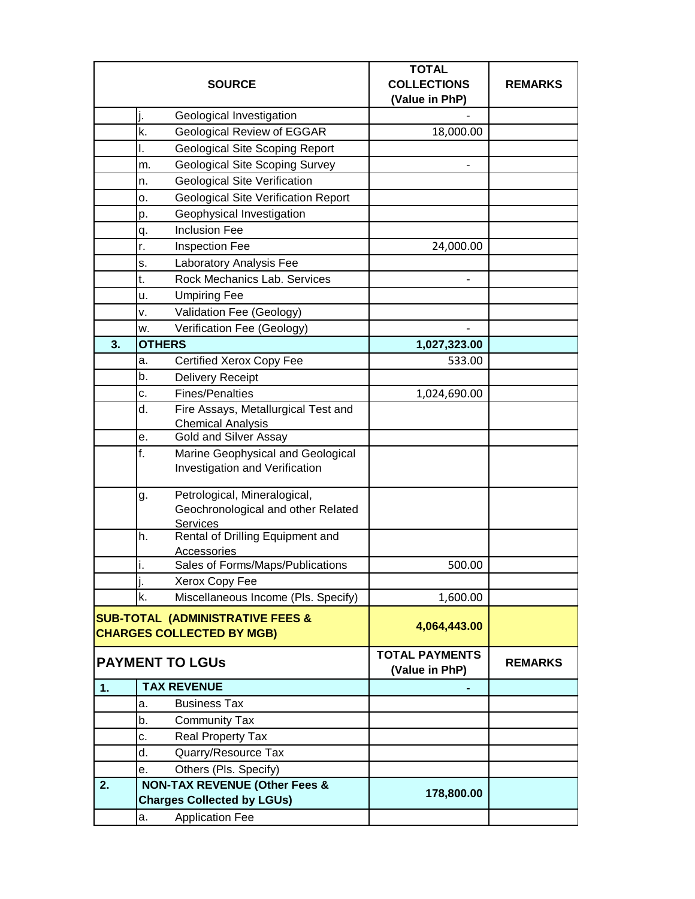| <b>SOURCE</b>                                                                   |                                                  | <b>TOTAL</b><br><b>COLLECTIONS</b>      | <b>REMARKS</b> |
|---------------------------------------------------------------------------------|--------------------------------------------------|-----------------------------------------|----------------|
|                                                                                 |                                                  | (Value in PhP)                          |                |
|                                                                                 | Geological Investigation<br>J.                   |                                         |                |
|                                                                                 | <b>Geological Review of EGGAR</b><br>k.          | 18,000.00                               |                |
|                                                                                 | Geological Site Scoping Report<br>ı.             |                                         |                |
|                                                                                 | <b>Geological Site Scoping Survey</b><br>m.      |                                         |                |
|                                                                                 | <b>Geological Site Verification</b><br>n.        |                                         |                |
|                                                                                 | <b>Geological Site Verification Report</b><br>о. |                                         |                |
|                                                                                 | Geophysical Investigation<br>p.                  |                                         |                |
|                                                                                 | <b>Inclusion Fee</b><br>q.                       |                                         |                |
|                                                                                 | <b>Inspection Fee</b><br>r.                      | 24,000.00                               |                |
|                                                                                 | Laboratory Analysis Fee<br>s.                    |                                         |                |
|                                                                                 | Rock Mechanics Lab. Services<br>t.               |                                         |                |
|                                                                                 | <b>Umpiring Fee</b><br>u.                        |                                         |                |
|                                                                                 | Validation Fee (Geology)<br>٧.                   |                                         |                |
|                                                                                 | Verification Fee (Geology)<br>w.                 |                                         |                |
| 3.                                                                              | <b>OTHERS</b>                                    | 1,027,323.00                            |                |
|                                                                                 | Certified Xerox Copy Fee<br>a.                   | 533.00                                  |                |
|                                                                                 | <b>Delivery Receipt</b><br>b.                    |                                         |                |
|                                                                                 | <b>Fines/Penalties</b><br>c.                     | 1,024,690.00                            |                |
|                                                                                 | d.<br>Fire Assays, Metallurgical Test and        |                                         |                |
|                                                                                 | <b>Chemical Analysis</b>                         |                                         |                |
|                                                                                 | Gold and Silver Assay<br>е.                      |                                         |                |
|                                                                                 | f.<br>Marine Geophysical and Geological          |                                         |                |
|                                                                                 | Investigation and Verification                   |                                         |                |
|                                                                                 | Petrological, Mineralogical,<br>g.               |                                         |                |
|                                                                                 | Geochronological and other Related               |                                         |                |
|                                                                                 | Services                                         |                                         |                |
|                                                                                 | Rental of Drilling Equipment and<br>h.           |                                         |                |
|                                                                                 | Accessories<br>Sales of Forms/Maps/Publications  |                                         |                |
|                                                                                 |                                                  | 500.00                                  |                |
|                                                                                 | Xerox Copy Fee                                   |                                         |                |
|                                                                                 | k.<br>Miscellaneous Income (Pls. Specify)        | 1,600.00                                |                |
| <b>SUB-TOTAL (ADMINISTRATIVE FEES &amp;</b><br><b>CHARGES COLLECTED BY MGB)</b> |                                                  | 4,064,443.00                            |                |
|                                                                                 | <b>PAYMENT TO LGUS</b>                           | <b>TOTAL PAYMENTS</b><br>(Value in PhP) | <b>REMARKS</b> |
| 1.                                                                              | <b>TAX REVENUE</b>                               |                                         |                |
|                                                                                 | <b>Business Tax</b><br>a.                        |                                         |                |
|                                                                                 | b.<br><b>Community Tax</b>                       |                                         |                |
|                                                                                 | Real Property Tax<br>c.                          |                                         |                |
|                                                                                 | d.<br>Quarry/Resource Tax                        |                                         |                |
|                                                                                 | Others (Pls. Specify)<br>е.                      |                                         |                |
| 2.                                                                              | <b>NON-TAX REVENUE (Other Fees &amp;</b>         |                                         |                |
|                                                                                 | <b>Charges Collected by LGUs)</b>                | 178,800.00                              |                |
|                                                                                 | <b>Application Fee</b><br>a.                     |                                         |                |
|                                                                                 |                                                  |                                         |                |